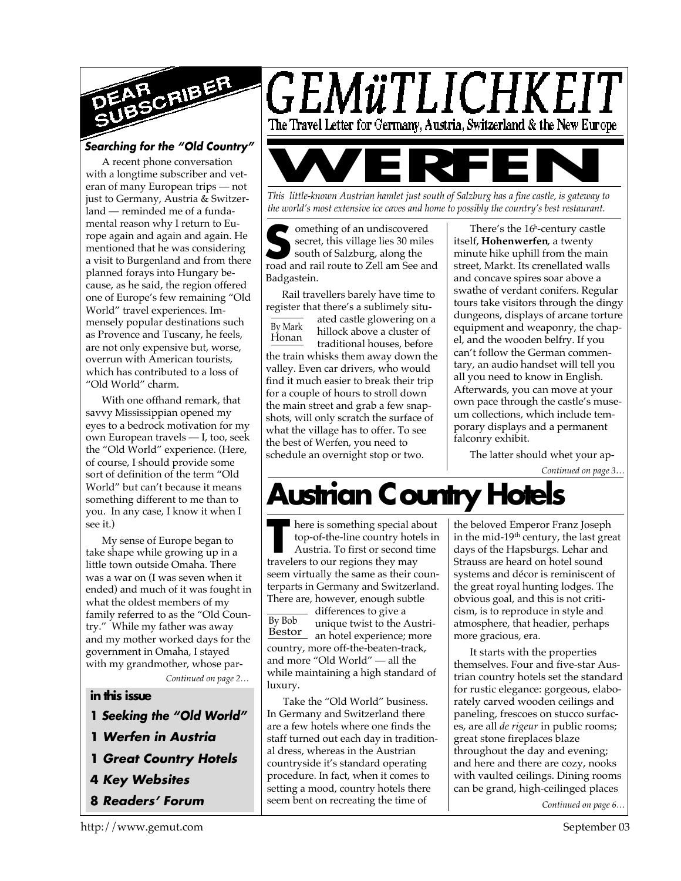

### *Searching for the "Old Country"*

A recent phone conversation with a longtime subscriber and veteran of many European trips — not just to Germany, Austria & Switzerland — reminded me of a fundamental reason why I return to Europe again and again and again. He mentioned that he was considering a visit to Burgenland and from there planned forays into Hungary because, as he said, the region offered one of Europe's few remaining "Old World" travel experiences. Immensely popular destinations such as Provence and Tuscany, he feels, are not only expensive but, worse, overrun with American tourists, which has contributed to a loss of "Old World" charm.

With one offhand remark, that savvy Mississippian opened my eyes to a bedrock motivation for my own European travels — I, too, seek the "Old World" experience. (Here, of course, I should provide some sort of definition of the term "Old World" but can't because it means something different to me than to you. In any case, I know it when I see it.)

My sense of Europe began to take shape while growing up in a little town outside Omaha. There was a war on (I was seven when it ended) and much of it was fought in what the oldest members of my family referred to as the "Old Country." While my father was away and my mother worked days for the government in Omaha, I stayed with my grandmother, whose par-

*Continued on page 2…*

#### **in this issue**

- **1** *Seeking the "Old World"*
- **1** *Werfen in Austria*
- **1** *Great Country Hotels*
- **4** *Key Websites*
- **8** *Readers' Forum*



*This little-known Austrian hamlet just south of Salzburg has a fine castle, is gateway to the world's most extensive ice caves and home to possibly the country's best restaurant.*

**S**<br>
secret, this village lies 30 miles<br>
south of Salzburg, along the<br>
road and rail route to Zell am See and omething of an undiscovered secret, this village lies 30 miles south of Salzburg, along the Badgastein.

By Mark Honan Rail travellers barely have time to register that there's a sublimely situated castle glowering on a hillock above a cluster of traditional houses, before the train whisks them away down the valley. Even car drivers, who would find it much easier to break their trip for a couple of hours to stroll down the main street and grab a few snapshots, will only scratch the surface of what the village has to offer. To see the best of Werfen, you need to schedule an overnight stop or two.

There's the 16<sup>h</sup> -century castle itself, **Hohenwerfen**, a twenty minute hike uphill from the main street, Markt. Its crenellated walls and concave spires soar above a swathe of verdant conifers. Regular tours take visitors through the dingy dungeons, displays of arcane torture equipment and weaponry, the chapel, and the wooden belfry. If you can't follow the German commentary, an audio handset will tell you all you need to know in English. Afterwards, you can move at your own pace through the castle's museum collections, which include temporary displays and a permanent falconry exhibit.

The latter should whet your ap-

*Continued on page 3…*

# **Austrian Country Hotels**

There is something special all top-of-the-line country hote<br>Austria. To first or second t<br>travelers to our regions they may here is something special about top-of-the-line country hotels in Austria. To first or second time seem virtually the same as their counterparts in Germany and Switzerland. There are, however, enough subtle

By Bob Bestor differences to give a unique twist to the Austrian hotel experience; more country, more off-the-beaten-track, and more "Old World" — all the while maintaining a high standard of luxury.

Take the "Old World" business. In Germany and Switzerland there are a few hotels where one finds the staff turned out each day in traditional dress, whereas in the Austrian countryside it's standard operating procedure. In fact, when it comes to setting a mood, country hotels there seem bent on recreating the time of

the beloved Emperor Franz Joseph in the mid-19<sup>th</sup> century, the last great days of the Hapsburgs. Lehar and Strauss are heard on hotel sound systems and décor is reminiscent of the great royal hunting lodges. The obvious goal, and this is not criticism, is to reproduce in style and atmosphere, that headier, perhaps more gracious, era.

It starts with the properties themselves. Four and five-star Austrian country hotels set the standard for rustic elegance: gorgeous, elaborately carved wooden ceilings and paneling, frescoes on stucco surfaces, are all *de rigeur* in public rooms; great stone fireplaces blaze throughout the day and evening; and here and there are cozy, nooks with vaulted ceilings. Dining rooms can be grand, high-ceilinged places

*Continued on page 6…*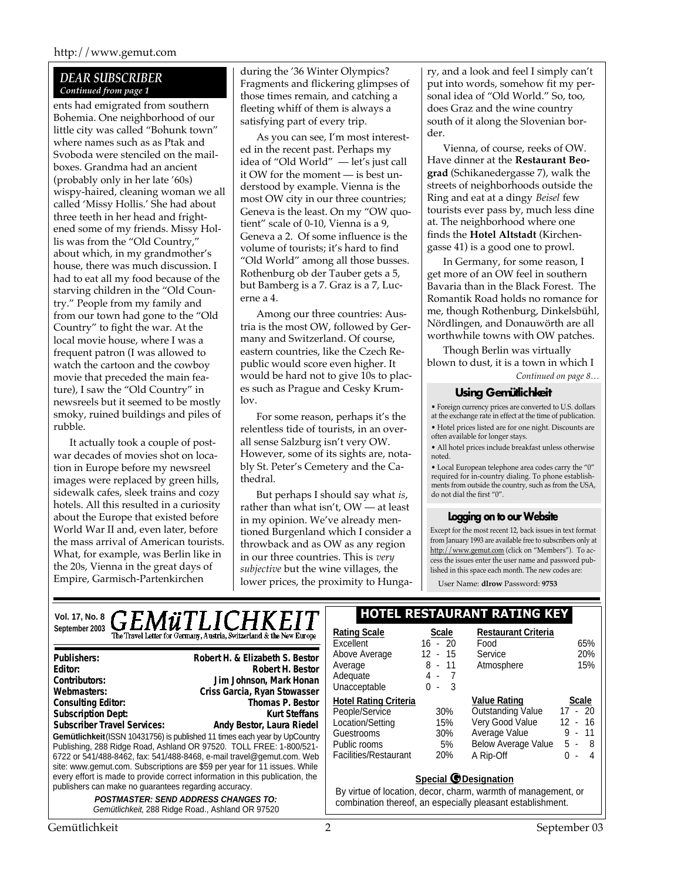#### *DEAR SUBSCRIBER Continued from page 1*

ents had emigrated from southern Bohemia. One neighborhood of our little city was called "Bohunk town" where names such as as Ptak and Svoboda were stenciled on the mailboxes. Grandma had an ancient (probably only in her late '60s) wispy-haired, cleaning woman we all called 'Missy Hollis.' She had about three teeth in her head and frightened some of my friends. Missy Hollis was from the "Old Country," about which, in my grandmother's house, there was much discussion. I had to eat all my food because of the starving children in the "Old Country." People from my family and from our town had gone to the "Old Country" to fight the war. At the local movie house, where I was a frequent patron (I was allowed to watch the cartoon and the cowboy movie that preceded the main feature), I saw the "Old Country" in newsreels but it seemed to be mostly smoky, ruined buildings and piles of rubble.

It actually took a couple of postwar decades of movies shot on location in Europe before my newsreel images were replaced by green hills, sidewalk cafes, sleek trains and cozy hotels. All this resulted in a curiosity about the Europe that existed before World War II and, even later, before the mass arrival of American tourists. What, for example, was Berlin like in the 20s, Vienna in the great days of Empire, Garmisch-Partenkirchen

during the '36 Winter Olympics? Fragments and flickering glimpses of those times remain, and catching a fleeting whiff of them is always a satisfying part of every trip.

As you can see, I'm most interested in the recent past. Perhaps my idea of "Old World" — let's just call it OW for the moment — is best understood by example. Vienna is the most OW city in our three countries; Geneva is the least. On my "OW quotient" scale of 0-10, Vienna is a 9, Geneva a 2. Of some influence is the volume of tourists; it's hard to find "Old World" among all those busses. Rothenburg ob der Tauber gets a 5, but Bamberg is a 7. Graz is a 7, Lucerne a 4.

Among our three countries: Austria is the most OW, followed by Germany and Switzerland. Of course, eastern countries, like the Czech Republic would score even higher. It would be hard not to give 10s to places such as Prague and Cesky Krumlov.

For some reason, perhaps it's the relentless tide of tourists, in an overall sense Salzburg isn't very OW. However, some of its sights are, notably St. Peter's Cemetery and the Cathedral.

But perhaps I should say what *is*, rather than what isn't, OW — at least in my opinion. We've already mentioned Burgenland which I consider a throwback and as OW as any region in our three countries. This is *very subjective* but the wine villages, the lower prices, the proximity to Hungary, and a look and feel I simply can't put into words, somehow fit my personal idea of "Old World." So, too, does Graz and the wine country south of it along the Slovenian border.

Vienna, of course, reeks of OW. Have dinner at the **Restaurant Beograd** (Schikanedergasse 7), walk the streets of neighborhoods outside the Ring and eat at a dingy *Beisel* few tourists ever pass by, much less dine at. The neighborhood where one finds the **Hotel Altstadt** (Kirchengasse 41) is a good one to prowl.

In Germany, for some reason, I get more of an OW feel in southern Bavaria than in the Black Forest. The Romantik Road holds no romance for me, though Rothenburg, Dinkelsbühl, Nördlingen, and Donauwörth are all worthwhile towns with OW patches.

*Continued on page 8…* Though Berlin was virtually blown to dust, it is a town in which I

#### **Using Gemütlichkeit**

• Foreign currency prices are converted to U.S. dollars at the exchange rate in effect at the time of publication. • Hotel prices listed are for one night. Discounts are often available for longer stays.

• All hotel prices include breakfast unless otherwise noted.

• Local European telephone area codes carry the "0" required for in-country dialing. To phone establishments from outside the country, such as from the USA, do not dial the first "0".

#### **Logging on to our Website**

Except for the most recent 12, back issues in text format from January 1993 are available free to subscribers only at http://www.gemut.com (click on "Members"). To access the issues enter the user name and password published in this space each month. The new codes are:

User Name: **dlrow** Password: **9753**

# Vol. 17, No. 8<sub>,</sub>  $\boldsymbol{GEMWTLICHKEIT}$  . HOTEL RESTAURANT RATING KEY **September 2003 Rating The Travel Letter for Germany, Austria, Switzerland & the New Europe**

**Gemütlichkeit** (ISSN 10431756) is published 11 times each year by UpCountry Publishing, 288 Ridge Road, Ashland OR 97520. TOLL FREE: 1-800/521- 6722 or 541/488-8462, fax: 541/488-8468, e-mail travel@gemut.com. Web site: www.gemut.com. Subscriptions are \$59 per year for 11 issues. While every effort is made to provide correct information in this publication, the publishers can make no guarantees regarding accuracy. *POSTMASTER: SEND ADDRESS CHANGES TO:* **Publishers:** Robert H. & Elizabeth S. Bestor **Publishers: Robert H. & Elizabeth S. Bestor Editor:** Robert H. Bestor **Contributors:** Doug Linton, C. Fischer, R. Holliday, Jim Johnson **Editor: Robert H. BestorContributors: Jim Johnson, Mark Honan** Webmasters: **Paul T. Merschware Criss Garcia, Ryan Stowasser Consulting Editor:** Thomas P. Bestor **Subscription Dept:** Subscriber Travel Services: Andy Bestor, Laura Riedel **Webmasters: Criss Garcia, Ryan StowasserConsulting Editor: Thomas P. BestorSubscription Dept: Kurt SteffansSubscriber Travel Services: Andy Bestor, Laura Riedel**

*Gemütlichkeit*, 288 Ridge Road., Ashland OR 97520

| Rating Scale                 | Scale     | <b>Restaurant Criteria</b> |              |
|------------------------------|-----------|----------------------------|--------------|
| Excellent                    | $16 - 20$ | Food                       | 65%          |
| Above Average                | 12 - 15   | Service                    | 20%          |
| Average                      | 8 - 11    | Atmosphere                 | 15%          |
| Adequate                     | 4 -       |                            |              |
| Unacceptable                 | 3<br>ი -  |                            |              |
| <b>Hotel Rating Criteria</b> |           | <b>Value Rating</b>        | <b>Scale</b> |
|                              |           |                            |              |
| People/Service               | 30%       | <b>Outstanding Value</b>   | $17 - 20$    |
| Location/Setting             | 15%       | Very Good Value            | $12 - 16$    |
| Guestrooms                   | 30%       | Average Value              | 9 - 11       |
| Public rooms                 | 5%        | <b>Below Average Value</b> | 5 -<br>-8    |
| Facilities/Restaurant        | 20%       | A Rip-Off                  | U<br>4<br>٠  |

#### **Special G Designation**

By virtue of location, decor, charm, warmth of management, or combination thereof, an especially pleasant establishment.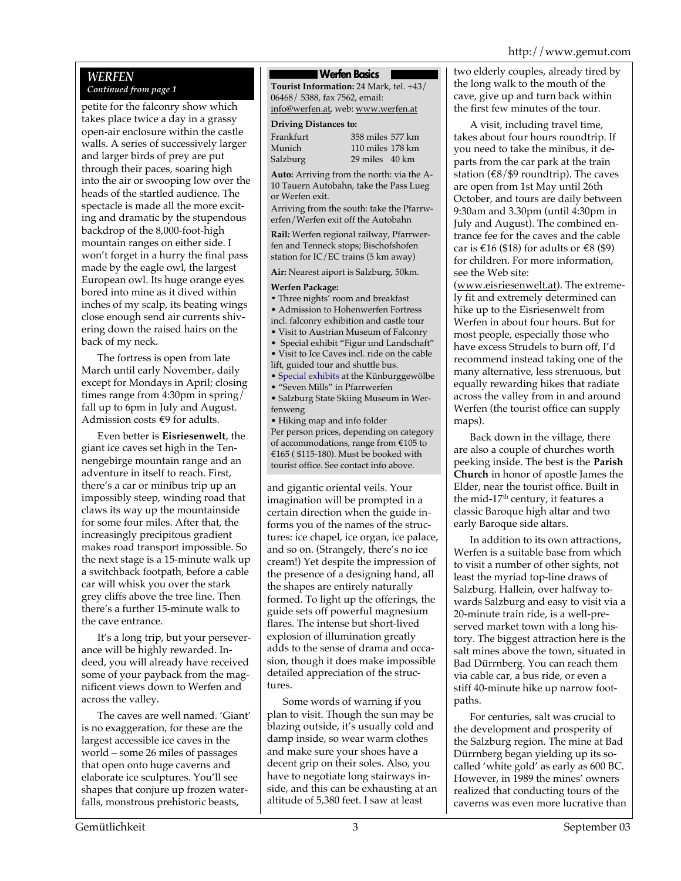#### *WERFEN Continued from page 1*

petite for the falconry show which takes place twice a day in a grassy open-air enclosure within the castle walls. A series of successively larger and larger birds of prey are put through their paces, soaring high into the air or swooping low over the heads of the startled audience. The spectacle is made all the more exciting and dramatic by the stupendous backdrop of the 8,000-foot-high mountain ranges on either side. I won't forget in a hurry the final pass made by the eagle owl, the largest European owl. Its huge orange eyes bored into mine as it dived within inches of my scalp, its beating wings close enough send air currents shivering down the raised hairs on the back of my neck.

The fortress is open from late March until early November, daily except for Mondays in April; closing times range from 4:30pm in spring/ fall up to 6pm in July and August. Admission costs €9 for adults.

Even better is **Eisriesenwelt**, the giant ice caves set high in the Tennengebirge mountain range and an adventure in itself to reach. First, there's a car or minibus trip up an impossibly steep, winding road that claws its way up the mountainside for some four miles. After that, the increasingly precipitous gradient makes road transport impossible. So the next stage is a 15-minute walk up a switchback footpath, before a cable car will whisk you over the stark grey cliffs above the tree line. Then there's a further 15-minute walk to the cave entrance.

It's a long trip, but your perseverance will be highly rewarded. Indeed, you will already have received some of your payback from the magnificent views down to Werfen and across the valley.

The caves are well named. 'Giant' is no exaggeration, for these are the largest accessible ice caves in the world – some 26 miles of passages that open onto huge caverns and elaborate ice sculptures. You'll see shapes that conjure up frozen waterfalls, monstrous prehistoric beasts,

#### **Werfen Basics**

**Tourist Information:** 24 Mark, tel. +43/ 06468/ 5388, fax 7562, email: info@werfen.at, web: www.werfen.at

**Driving Distances to:**

Frankfurt 358 miles 577 km Munich 110 miles 178 km<br>Salzburg 29 miles 40 km

29 miles 40 km

**Auto:** Arriving from the north: via the A-10 Tauern Autobahn, take the Pass Lueg or Werfen exit.

Arriving from the south: take the Pfarrwerfen/Werfen exit off the Autobahn

**Rail***:* Werfen regional railway, Pfarrwerfen and Tenneck stops; Bischofshofen station for IC/EC trains (5 km away)

**Air:** Nearest aiport is Salzburg, 50km.

#### **Werfen Package:**

**•** Three nights' room and breakfast • Admission to Hohenwerfen Fortress incl. falconry exhibition and castle tour

• Visit to Austrian Museum of Falconry

• Special exhibit "Figur und Landschaft" • Visit to Ice Caves incl. ride on the cable lift, guided tour and shuttle bus.

• Special exhibits at the Künburggewölbe

• "Seven Mills" in Pfarrwerfen

• Salzburg State Skiing Museum in Werfenweng

• Hiking map and info folder Per person prices, depending on category of accommodations, range from €105 to €165 ( \$115-180). Must be booked with tourist office. See contact info above.

and gigantic oriental veils. Your imagination will be prompted in a certain direction when the guide informs you of the names of the structures: ice chapel, ice organ, ice palace, and so on. (Strangely, there's no ice cream!) Yet despite the impression of the presence of a designing hand, all the shapes are entirely naturally formed. To light up the offerings, the guide sets off powerful magnesium flares. The intense but short-lived explosion of illumination greatly adds to the sense of drama and occasion, though it does make impossible detailed appreciation of the structures.

Some words of warning if you plan to visit. Though the sun may be blazing outside, it's usually cold and damp inside, so wear warm clothes and make sure your shoes have a decent grip on their soles. Also, you have to negotiate long stairways inside, and this can be exhausting at an altitude of 5,380 feet. I saw at least

two elderly couples, already tired by the long walk to the mouth of the cave, give up and turn back within the first few minutes of the tour.

A visit, including travel time, takes about four hours roundtrip. If you need to take the minibus, it departs from the car park at the train station ( $\epsilon$ 8/\$9 roundtrip). The caves are open from 1st May until 26th October, and tours are daily between 9:30am and 3.30pm (until 4:30pm in July and August). The combined entrance fee for the caves and the cable car is  $\text{\textsterling}16$  (\$18) for adults or  $\text{\textsterling}8$  (\$9) for children. For more information, see the Web site:

(www.eisriesenwelt.at). The extremely fit and extremely determined can hike up to the Eisriesenwelt from Werfen in about four hours. But for most people, especially those who have excess Strudels to burn off, I'd recommend instead taking one of the many alternative, less strenuous, but equally rewarding hikes that radiate across the valley from in and around Werfen (the tourist office can supply maps).

Back down in the village, there are also a couple of churches worth peeking inside. The best is the **Parish Church** in honor of apostle James the Elder, near the tourist office. Built in the mid-17<sup>th</sup> century, it features a classic Baroque high altar and two early Baroque side altars.

In addition to its own attractions, Werfen is a suitable base from which to visit a number of other sights, not least the myriad top-line draws of Salzburg. Hallein, over halfway towards Salzburg and easy to visit via a 20-minute train ride, is a well-preserved market town with a long history. The biggest attraction here is the salt mines above the town, situated in Bad Dürrnberg. You can reach them via cable car, a bus ride, or even a stiff 40-minute hike up narrow footpaths.

For centuries, salt was crucial to the development and prosperity of the Salzburg region. The mine at Bad Dürrnberg began yielding up its socalled 'white gold' as early as 600 BC. However, in 1989 the mines' owners realized that conducting tours of the caverns was even more lucrative than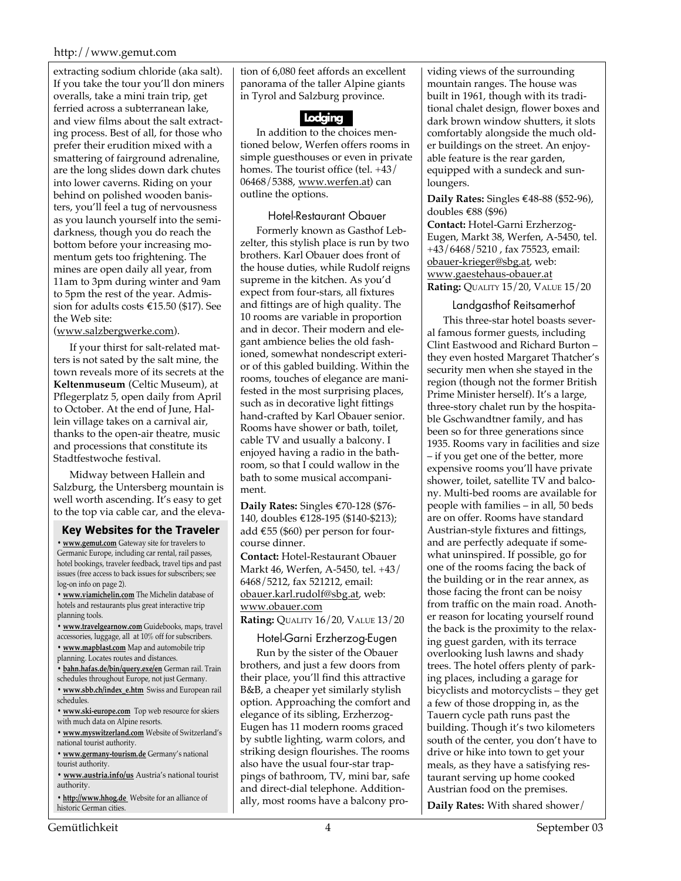#### http://www.gemut.com

extracting sodium chloride (aka salt). If you take the tour you'll don miners overalls, take a mini train trip, get ferried across a subterranean lake, and view films about the salt extracting process. Best of all, for those who prefer their erudition mixed with a smattering of fairground adrenaline, are the long slides down dark chutes into lower caverns. Riding on your behind on polished wooden banisters, you'll feel a tug of nervousness as you launch yourself into the semidarkness, though you do reach the bottom before your increasing momentum gets too frightening. The mines are open daily all year, from 11am to 3pm during winter and 9am to 5pm the rest of the year. Admission for adults costs €15.50 (\$17). See the Web site:

(www.salzbergwerke.com).

If your thirst for salt-related matters is not sated by the salt mine, the town reveals more of its secrets at the **Keltenmuseum** (Celtic Museum), at Pflegerplatz 5, open daily from April to October. At the end of June, Hallein village takes on a carnival air, thanks to the open-air theatre, music and processions that constitute its Stadtfestwoche festival.

Midway between Hallein and Salzburg, the Untersberg mountain is well worth ascending. It's easy to get to the top via cable car, and the eleva-

#### **Key Websites for the Traveler**

**• www.gemut.com** Gateway site for travelers to Germanic Europe, including car rental, rail passes, hotel bookings, traveler feedback, travel tips and past issues (free access to back issues for subscribers; see log-on info on page 2).

**• www.viamichelin.com** The Michelin database of hotels and restaurants plus great interactive trip planning tools.

**• www.travelgearnow.com** Guidebooks, maps, travel accessories, luggage, all at 10% off for subscribers.

- **www.mapblast.com** Map and automobile trip
- planning. Locates routes and distances.
- **bahn.hafas.de/bin/query.exe/en** German rail. Train schedules throughout Europe, not just Germany.
- **www.sbb.ch/index\_e.htm** Swiss and European rail schedules.
- **www.ski-europe.com** Top web resource for skiers with much data on Alpine resorts.

**• www.myswitzerland.com** Website of Switzerland's national tourist authority.

**• www.germany-tourism.de** Germany's national tourist authority.

**• www.austria.info/us** Austria's national tourist authority.

**• http://www.hhog.de** Website for an alliance of historic German cities.

tion of 6,080 feet affords an excellent panorama of the taller Alpine giants in Tyrol and Salzburg province.



In addition to the choices mentioned below, Werfen offers rooms in simple guesthouses or even in private homes. The tourist office (tel. +43/ 06468/5388, www.werfen.at) can outline the options.

#### Hotel-Restaurant Obauer

Formerly known as Gasthof Lebzelter, this stylish place is run by two brothers. Karl Obauer does front of the house duties, while Rudolf reigns supreme in the kitchen. As you'd expect from four-stars, all fixtures and fittings are of high quality. The 10 rooms are variable in proportion and in decor. Their modern and elegant ambience belies the old fashioned, somewhat nondescript exterior of this gabled building. Within the rooms, touches of elegance are manifested in the most surprising places, such as in decorative light fittings hand-crafted by Karl Obauer senior. Rooms have shower or bath, toilet, cable TV and usually a balcony. I enjoyed having a radio in the bathroom, so that I could wallow in the bath to some musical accompaniment.

**Daily Rates:** Singles €70-128 (\$76- 140, doubles €128-195 (\$140-\$213); add €55 (\$60) per person for fourcourse dinner.

**Contact:** Hotel-Restaurant Obauer Markt 46, Werfen, A-5450, tel. +43/ 6468/5212, fax 521212, email: obauer.karl.rudolf@sbg.at, web: www.obauer.com

**Rating:** QUALITY 16/20, VALUE 13/20

#### Hotel-Garni Erzherzog-Eugen

Run by the sister of the Obauer brothers, and just a few doors from their place, you'll find this attractive B&B, a cheaper yet similarly stylish option. Approaching the comfort and elegance of its sibling, Erzherzog-Eugen has 11 modern rooms graced by subtle lighting, warm colors, and striking design flourishes. The rooms also have the usual four-star trappings of bathroom, TV, mini bar, safe and direct-dial telephone. Additionally, most rooms have a balcony providing views of the surrounding mountain ranges. The house was built in 1961, though with its traditional chalet design, flower boxes and dark brown window shutters, it slots comfortably alongside the much older buildings on the street. An enjoyable feature is the rear garden, equipped with a sundeck and sunloungers.

**Daily Rates:** Singles €48-88 (\$52-96), doubles €88 (\$96) **Contact:** Hotel-Garni Erzherzog-Eugen, Markt 38, Werfen, A-5450, tel. +43/6468/5210 , fax 75523, email: obauer-krieger@sbg.at, web: www.gaestehaus-obauer.at **Rating:** QUALITY 15/20, VALUE 15/20

#### Landgasthof Reitsamerhof

This three-star hotel boasts several famous former guests, including Clint Eastwood and Richard Burton – they even hosted Margaret Thatcher's security men when she stayed in the region (though not the former British Prime Minister herself). It's a large, three-story chalet run by the hospitable Gschwandtner family, and has been so for three generations since 1935. Rooms vary in facilities and size – if you get one of the better, more expensive rooms you'll have private shower, toilet, satellite TV and balcony. Multi-bed rooms are available for people with families – in all, 50 beds are on offer. Rooms have standard Austrian-style fixtures and fittings, and are perfectly adequate if somewhat uninspired. If possible, go for one of the rooms facing the back of the building or in the rear annex, as those facing the front can be noisy from traffic on the main road. Another reason for locating yourself round the back is the proximity to the relaxing guest garden, with its terrace overlooking lush lawns and shady trees. The hotel offers plenty of parking places, including a garage for bicyclists and motorcyclists – they get a few of those dropping in, as the Tauern cycle path runs past the building. Though it's two kilometers south of the center, you don't have to drive or hike into town to get your meals, as they have a satisfying restaurant serving up home cooked Austrian food on the premises.

**Daily Rates:** With shared shower/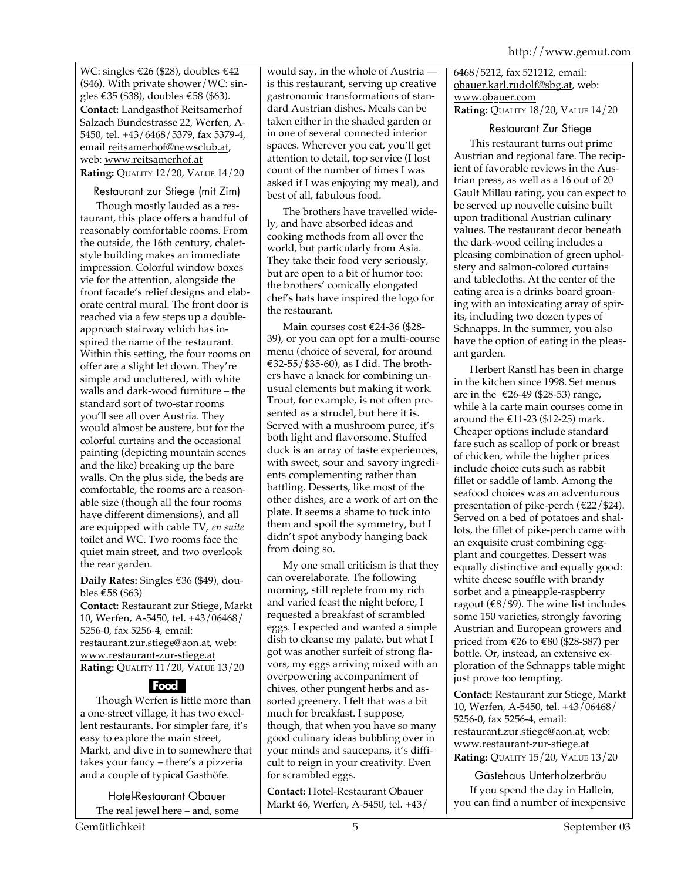WC: singles €26 (\$28), doubles €42 (\$46). With private shower/WC: singles €35 (\$38), doubles €58 (\$63). **Contact:** Landgasthof Reitsamerhof Salzach Bundestrasse 22, Werfen, A-5450, tel. +43/6468/5379, fax 5379-4, email reitsamerhof@newsclub.at, web: www.reitsamerhof.at **Rating:** QUALITY 12/20, VALUE 14/20

### Restaurant zur Stiege (mit Zim)

Though mostly lauded as a restaurant, this place offers a handful of reasonably comfortable rooms. From the outside, the 16th century, chaletstyle building makes an immediate impression. Colorful window boxes vie for the attention, alongside the front facade's relief designs and elaborate central mural. The front door is reached via a few steps up a doubleapproach stairway which has inspired the name of the restaurant. Within this setting, the four rooms on offer are a slight let down. They're simple and uncluttered, with white walls and dark-wood furniture – the standard sort of two-star rooms you'll see all over Austria. They would almost be austere, but for the colorful curtains and the occasional painting (depicting mountain scenes and the like) breaking up the bare walls. On the plus side, the beds are comfortable, the rooms are a reasonable size (though all the four rooms have different dimensions), and all are equipped with cable TV, *en suite* toilet and WC. Two rooms face the quiet main street, and two overlook the rear garden.

**Daily Rates:** Singles €36 (\$49), doubles €58 (\$63)

**Contact:** Restaurant zur Stiege**,** Markt 10, Werfen, A-5450, tel. +43/06468/ 5256-0, fax 5256-4, email: restaurant.zur.stiege@aon.at, web: www.restaurant-zur-stiege.at **Rating:** QUALITY 11/20, VALUE 13/20

### **Food**

Though Werfen is little more than a one-street village, it has two excellent restaurants. For simpler fare, it's easy to explore the main street, Markt, and dive in to somewhere that takes your fancy – there's a pizzeria and a couple of typical Gasthöfe.

Hotel-Restaurant Obauer

The real jewel here – and, some

would say, in the whole of Austria is this restaurant, serving up creative gastronomic transformations of standard Austrian dishes. Meals can be taken either in the shaded garden or in one of several connected interior spaces. Wherever you eat, you'll get attention to detail, top service (I lost count of the number of times I was asked if I was enjoying my meal), and best of all, fabulous food.

The brothers have travelled widely, and have absorbed ideas and cooking methods from all over the world, but particularly from Asia. They take their food very seriously, but are open to a bit of humor too: the brothers' comically elongated chef's hats have inspired the logo for the restaurant.

Main courses cost €24-36 (\$28- 39), or you can opt for a multi-course menu (choice of several, for around €32-55/\$35-60), as I did. The brothers have a knack for combining unusual elements but making it work. Trout, for example, is not often presented as a strudel, but here it is. Served with a mushroom puree, it's both light and flavorsome. Stuffed duck is an array of taste experiences, with sweet, sour and savory ingredients complementing rather than battling. Desserts, like most of the other dishes, are a work of art on the plate. It seems a shame to tuck into them and spoil the symmetry, but I didn't spot anybody hanging back from doing so.

My one small criticism is that they can overelaborate. The following morning, still replete from my rich and varied feast the night before, I requested a breakfast of scrambled eggs. I expected and wanted a simple dish to cleanse my palate, but what I got was another surfeit of strong flavors, my eggs arriving mixed with an overpowering accompaniment of chives, other pungent herbs and assorted greenery. I felt that was a bit much for breakfast. I suppose, though, that when you have so many good culinary ideas bubbling over in your minds and saucepans, it's difficult to reign in your creativity. Even for scrambled eggs.

**Contact:** Hotel-Restaurant Obauer Markt 46, Werfen, A-5450, tel. +43/ 6468/5212, fax 521212, email: obauer.karl.rudolf@sbg.at, web: www.obauer.com **Rating:** QUALITY 18/20, VALUE 14/20

Restaurant Zur Stiege This restaurant turns out prime Austrian and regional fare. The recipient of favorable reviews in the Austrian press, as well as a 16 out of 20 Gault Millau rating, you can expect to be served up nouvelle cuisine built upon traditional Austrian culinary values. The restaurant decor beneath the dark-wood ceiling includes a pleasing combination of green upholstery and salmon-colored curtains and tablecloths. At the center of the eating area is a drinks board groaning with an intoxicating array of spirits, including two dozen types of Schnapps. In the summer, you also have the option of eating in the pleasant garden.

Herbert Ranstl has been in charge in the kitchen since 1998. Set menus are in the €26-49 (\$28-53) range, while à la carte main courses come in around the €11-23 (\$12-25) mark. Cheaper options include standard fare such as scallop of pork or breast of chicken, while the higher prices include choice cuts such as rabbit fillet or saddle of lamb. Among the seafood choices was an adventurous presentation of pike-perch (€22/\$24). Served on a bed of potatoes and shallots, the fillet of pike-perch came with an exquisite crust combining eggplant and courgettes. Dessert was equally distinctive and equally good: white cheese souffle with brandy sorbet and a pineapple-raspberry ragout ( $\epsilon$ 8/\$9). The wine list includes some 150 varieties, strongly favoring Austrian and European growers and priced from €26 to €80 (\$28-\$87) per bottle. Or, instead, an extensive exploration of the Schnapps table might just prove too tempting.

**Contact:** Restaurant zur Stiege**,** Markt 10, Werfen, A-5450, tel. +43/06468/ 5256-0, fax 5256-4, email: restaurant.zur.stiege@aon.at, web: www.restaurant-zur-stiege.at **Rating:** QUALITY 15/20, VALUE 13/20

Gästehaus Unterholzerbräu If you spend the day in Hallein, you can find a number of inexpensive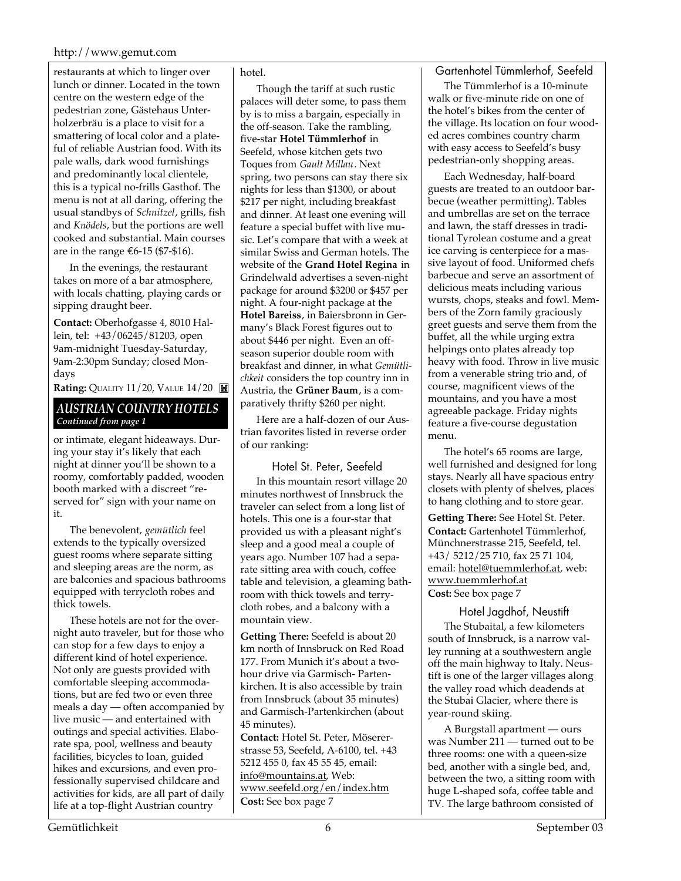#### http://www.gemut.com

restaurants at which to linger over lunch or dinner. Located in the town centre on the western edge of the pedestrian zone, Gästehaus Unterholzerbräu is a place to visit for a smattering of local color and a plateful of reliable Austrian food. With its pale walls, dark wood furnishings and predominantly local clientele, this is a typical no-frills Gasthof. The menu is not at all daring, offering the usual standbys of *Schnitzel*, grills, fish and *Knödels*, but the portions are well cooked and substantial. Main courses are in the range €6-15 (\$7-\$16).

In the evenings, the restaurant takes on more of a bar atmosphere, with locals chatting, playing cards or sipping draught beer.

**Contact:** Oberhofgasse 4, 8010 Hallein, tel: +43/06245/81203, open 9am-midnight Tuesday-Saturday, 9am-2:30pm Sunday; closed Mondays

**Rating:** QUALITY 11/20, VALUE 14/20

#### *AUSTRIAN COUNTRY HOTELS Continued from page 1*

or intimate, elegant hideaways. During your stay it's likely that each night at dinner you'll be shown to a roomy, comfortably padded, wooden booth marked with a discreet "reserved for" sign with your name on it.

The benevolent, *gemütlich* feel extends to the typically oversized guest rooms where separate sitting and sleeping areas are the norm, as are balconies and spacious bathrooms equipped with terrycloth robes and thick towels.

These hotels are not for the overnight auto traveler, but for those who can stop for a few days to enjoy a different kind of hotel experience. Not only are guests provided with comfortable sleeping accommodations, but are fed two or even three meals a day — often accompanied by live music — and entertained with outings and special activities. Elaborate spa, pool, wellness and beauty facilities, bicycles to loan, guided hikes and excursions, and even professionally supervised childcare and activities for kids, are all part of daily life at a top-flight Austrian country

#### hotel.

Though the tariff at such rustic palaces will deter some, to pass them by is to miss a bargain, especially in the off-season. Take the rambling, five-star **Hotel Tümmlerhof** in Seefeld, whose kitchen gets two Toques from *Gault Millau*. Next spring, two persons can stay there six nights for less than \$1300, or about \$217 per night, including breakfast and dinner. At least one evening will feature a special buffet with live music. Let's compare that with a week at similar Swiss and German hotels. The website of the **Grand Hotel Regina** in Grindelwald advertises a seven-night package for around \$3200 or \$457 per night. A four-night package at the **Hotel Bareiss**, in Baiersbronn in Germany's Black Forest figures out to about \$446 per night. Even an offseason superior double room with breakfast and dinner, in what *Gemütlichkeit* considers the top country inn in Austria, the **Grüner Baum**, is a comparatively thrifty \$260 per night.

Here are a half-dozen of our Austrian favorites listed in reverse order of our ranking:

Hotel St. Peter, Seefeld In this mountain resort village 20 minutes northwest of Innsbruck the traveler can select from a long list of hotels. This one is a four-star that provided us with a pleasant night's sleep and a good meal a couple of years ago. Number 107 had a separate sitting area with couch, coffee table and television, a gleaming bathroom with thick towels and terrycloth robes, and a balcony with a mountain view.

**Getting There:** Seefeld is about 20 km north of Innsbruck on Red Road 177. From Munich it's about a twohour drive via Garmisch- Partenkirchen. It is also accessible by train from Innsbruck (about 35 minutes) and Garmisch-Partenkirchen (about 45 minutes).

**Contact:** Hotel St. Peter, Mösererstrasse 53, Seefeld, A-6100, tel. +43 5212 455 0, fax 45 55 45, email: info@mountains.at, Web: www.seefeld.org/en/index.htm **Cost:** See box page 7

#### Gartenhotel Tümmlerhof, Seefeld

The Tümmlerhof is a 10-minute walk or five-minute ride on one of the hotel's bikes from the center of the village. Its location on four wooded acres combines country charm with easy access to Seefeld's busy pedestrian-only shopping areas.

Each Wednesday, half-board guests are treated to an outdoor barbecue (weather permitting). Tables and umbrellas are set on the terrace and lawn, the staff dresses in traditional Tyrolean costume and a great ice carving is centerpiece for a massive layout of food. Uniformed chefs barbecue and serve an assortment of delicious meats including various wursts, chops, steaks and fowl. Members of the Zorn family graciously greet guests and serve them from the buffet, all the while urging extra helpings onto plates already top heavy with food. Throw in live music from a venerable string trio and, of course, magnificent views of the mountains, and you have a most agreeable package. Friday nights feature a five-course degustation menu.

The hotel's 65 rooms are large, well furnished and designed for long stays. Nearly all have spacious entry closets with plenty of shelves, places to hang clothing and to store gear.

**Getting There:** See Hotel St. Peter. **Contact:** Gartenhotel Tümmlerhof, Münchnerstrasse 215, Seefeld, tel. +43/ 5212/25 710, fax 25 71 104, email: hotel@tuemmlerhof.at, web: www.tuemmlerhof.at **Cost:** See box page 7

Hotel Jagdhof, Neustift The Stubaital, a few kilometers south of Innsbruck, is a narrow valley running at a southwestern angle off the main highway to Italy. Neustift is one of the larger villages along the valley road which deadends at the Stubai Glacier, where there is year-round skiing.

A Burgstall apartment — ours was Number 211 — turned out to be three rooms: one with a queen-size bed, another with a single bed, and, between the two, a sitting room with huge L-shaped sofa, coffee table and TV. The large bathroom consisted of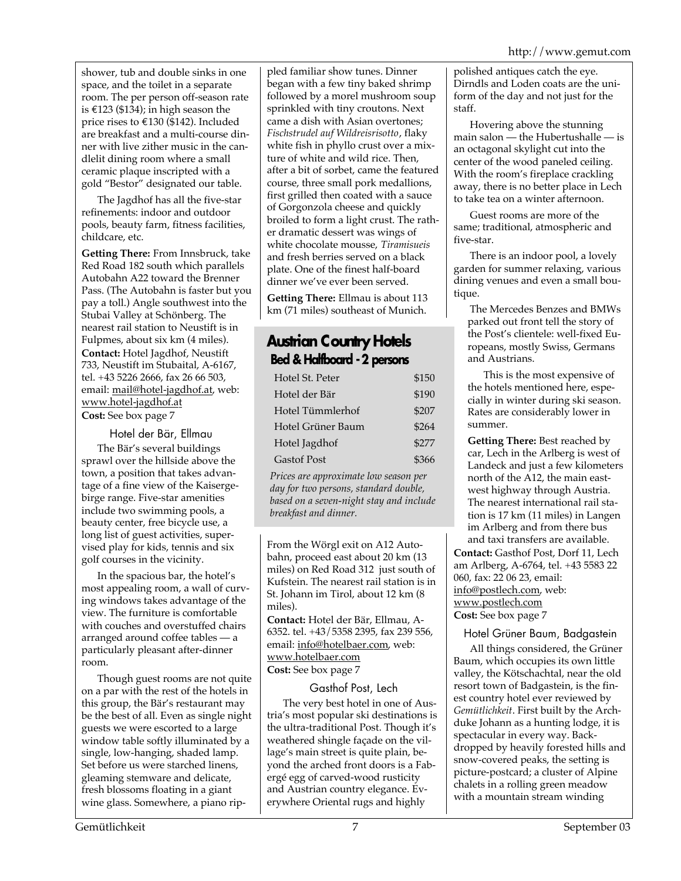shower, tub and double sinks in one space, and the toilet in a separate room. The per person off-season rate is €123 (\$134); in high season the price rises to €130 (\$142). Included are breakfast and a multi-course dinner with live zither music in the candlelit dining room where a small ceramic plaque inscripted with a gold "Bestor" designated our table.

The Jagdhof has all the five-star refinements: indoor and outdoor pools, beauty farm, fitness facilities, childcare, etc.

**Getting There:** From Innsbruck, take Red Road 182 south which parallels Autobahn A22 toward the Brenner Pass. (The Autobahn is faster but you pay a toll.) Angle southwest into the Stubai Valley at Schönberg. The nearest rail station to Neustift is in Fulpmes, about six km (4 miles). **Contact:** Hotel Jagdhof, Neustift 733, Neustift im Stubaital, A-6167, tel. +43 5226 2666, fax 26 66 503, email: mail@hotel-jagdhof.at, web: www.hotel-jagdhof.at **Cost:** See box page 7

Hotel der Bär, Ellmau

The Bär's several buildings sprawl over the hillside above the town, a position that takes advantage of a fine view of the Kaisergebirge range. Five-star amenities include two swimming pools, a beauty center, free bicycle use, a long list of guest activities, supervised play for kids, tennis and six golf courses in the vicinity.

In the spacious bar, the hotel's most appealing room, a wall of curving windows takes advantage of the view. The furniture is comfortable with couches and overstuffed chairs arranged around coffee tables — a particularly pleasant after-dinner room.

Though guest rooms are not quite on a par with the rest of the hotels in this group, the Bär's restaurant may be the best of all. Even as single night guests we were escorted to a large window table softly illuminated by a single, low-hanging, shaded lamp. Set before us were starched linens, gleaming stemware and delicate, fresh blossoms floating in a giant wine glass. Somewhere, a piano rippled familiar show tunes. Dinner began with a few tiny baked shrimp followed by a morel mushroom soup sprinkled with tiny croutons. Next came a dish with Asian overtones; *Fischstrudel auf Wildreisrisotto*, flaky white fish in phyllo crust over a mixture of white and wild rice. Then, after a bit of sorbet, came the featured course, three small pork medallions, first grilled then coated with a sauce of Gorgonzola cheese and quickly broiled to form a light crust. The rather dramatic dessert was wings of white chocolate mousse, *Tiramisueis* and fresh berries served on a black plate. One of the finest half-board dinner we've ever been served.

**Getting There:** Ellmau is about 113 km (71 miles) southeast of Munich.

## **Austrian Country Hotels Bed & Halfboard - 2 persons**

| Hotel St. Peter    | \$150 |
|--------------------|-------|
| Hotel der Bär      | \$190 |
| Hotel Tümmlerhof   | \$207 |
| Hotel Grüner Baum  | \$264 |
| Hotel Jagdhof      | \$277 |
| <b>Gastof Post</b> | \$366 |

*Prices are approximate low season per day for two persons, standard double, based on a seven-night stay and include breakfast and dinner.*

From the Wörgl exit on A12 Autobahn, proceed east about 20 km (13 miles) on Red Road 312 just south of Kufstein. The nearest rail station is in St. Johann im Tirol, about 12 km (8 miles).

**Contact:** Hotel der Bär, Ellmau, A-6352. tel. +43/5358 2395, fax 239 556, email: info@hotelbaer.com, web: www.hotelbaer.com **Cost:** See box page 7

Gasthof Post, Lech The very best hotel in one of Austria's most popular ski destinations is the ultra-traditional Post. Though it's weathered shingle façade on the village's main street is quite plain, beyond the arched front doors is a Fabergé egg of carved-wood rusticity and Austrian country elegance. Everywhere Oriental rugs and highly

polished antiques catch the eye. Dirndls and Loden coats are the uniform of the day and not just for the staff.

Hovering above the stunning main salon — the Hubertushalle — is an octagonal skylight cut into the center of the wood paneled ceiling. With the room's fireplace crackling away, there is no better place in Lech to take tea on a winter afternoon.

Guest rooms are more of the same; traditional, atmospheric and five-star.

There is an indoor pool, a lovely garden for summer relaxing, various dining venues and even a small boutique.

The Mercedes Benzes and BMWs parked out front tell the story of the Post's clientele: well-fixed Europeans, mostly Swiss, Germans and Austrians.

This is the most expensive of the hotels mentioned here, especially in winter during ski season. Rates are considerably lower in summer.

**Getting There:** Best reached by car, Lech in the Arlberg is west of Landeck and just a few kilometers north of the A12, the main eastwest highway through Austria. The nearest international rail station is 17 km (11 miles) in Langen im Arlberg and from there bus and taxi transfers are available. **Contact:** Gasthof Post, Dorf 11, Lech am Arlberg, A-6764, tel. +43 5583 22 060, fax: 22 06 23, email: info@postlech.com, web: www.postlech.com

**Cost:** See box page 7

Hotel Grüner Baum, Badgastein

All things considered, the Grüner Baum, which occupies its own little valley, the Kötschachtal, near the old resort town of Badgastein, is the finest country hotel ever reviewed by *Gemütlichkeit*. First built by the Archduke Johann as a hunting lodge, it is spectacular in every way. Backdropped by heavily forested hills and snow-covered peaks, the setting is picture-postcard; a cluster of Alpine chalets in a rolling green meadow with a mountain stream winding